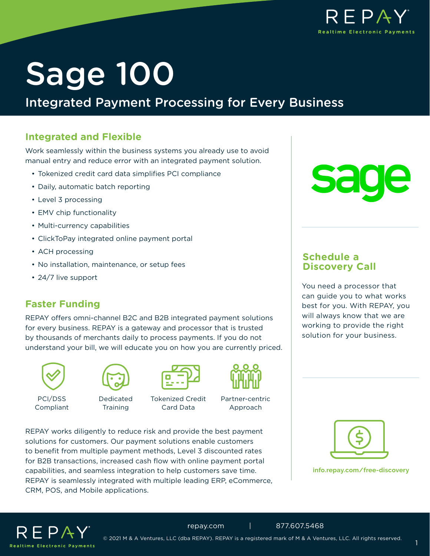

# Sage 100

### Integrated Payment Processing for Every Business

#### **Integrated and Flexible**

Work seamlessly within the business systems you already use to avoid manual entry and reduce error with an integrated payment solution.

- Tokenized credit card data simplifies PCI compliance
- Daily, automatic batch reporting
- Level 3 processing
- EMV chip functionality
- Multi-currency capabilities
- ClickToPay integrated online payment portal
- ACH processing
- No installation, maintenance, or setup fees
- 24/7 live support

#### **Faster Funding**

REPAY offers omni-channel B2C and B2B integrated payment solutions for every business. REPAY is a gateway and processor that is trusted by thousands of merchants daily to process payments. If you do not understand your bill, we will educate you on how you are currently priced.





PCI/DSS Compliant

Dedicated **Training** 





Card Data

Partner-centric Approach

REPAY works diligently to reduce risk and provide the best payment solutions for customers. Our payment solutions enable customers to benefit from multiple payment methods, Level 3 discounted rates for B2B transactions, increased cash flow with online payment portal capabilities, and seamless integration to help customers save time. REPAY is seamlessly integrated with multiple leading ERP, eCommerce, CRM, POS, and Mobile applications.



You need a processor that can guide you to what works best for you. With REPAY, you will always know that we are working to provide the right solution for your business.

**Schedule a Discovery Call**

**[info.repay.com/free-discovery](https://info.repay.com/free-discovery)**



[repay.com](https://www.repay.com/) | 877.607.5468 © 2021 M & A Ventures, LLC (dba REPAY). REPAY is a registered mark of M & A Ventures, LLC. All rights reserved.